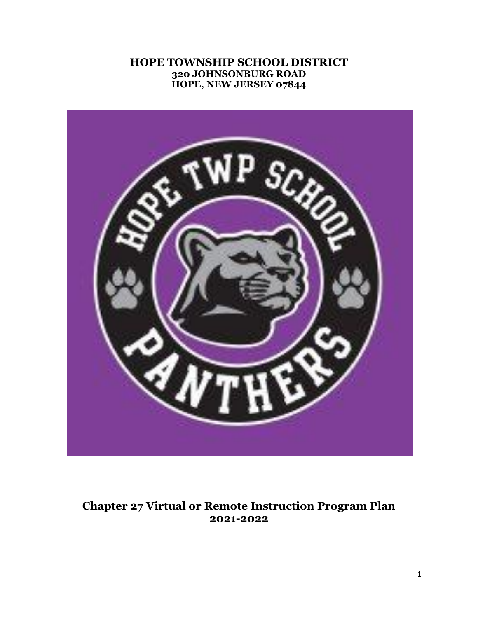### **HOPE TOWNSHIP SCHOOL DISTRICT 320 JOHNSONBURG ROAD HOPE, NEW JERSEY 07844**



# **Chapter 27 Virtual or Remote Instruction Program Plan 2021-2022**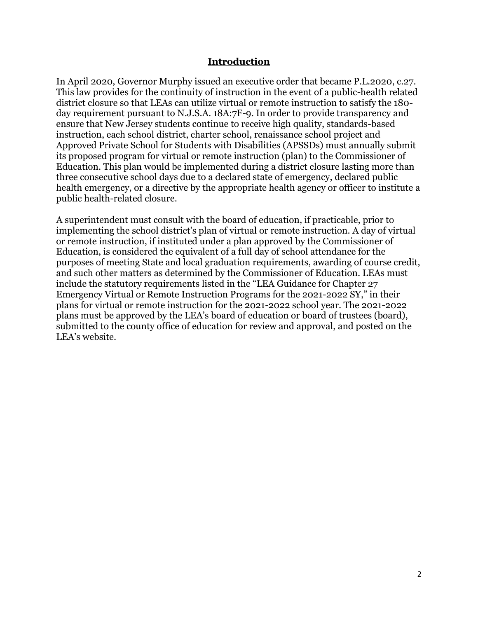#### **Introduction**

In April 2020, Governor Murphy issued an executive order that became P.L.2020, c.27. This law provides for the continuity of instruction in the event of a public-health related district closure so that LEAs can utilize virtual or remote instruction to satisfy the 180 day requirement pursuant to N.J.S.A. 18A:7F-9. In order to provide transparency and ensure that New Jersey students continue to receive high quality, standards-based instruction, each school district, charter school, renaissance school project and Approved Private School for Students with Disabilities (APSSDs) must annually submit its proposed program for virtual or remote instruction (plan) to the Commissioner of Education. This plan would be implemented during a district closure lasting more than three consecutive school days due to a declared state of emergency, declared public health emergency, or a directive by the appropriate health agency or officer to institute a public health-related closure.

A superintendent must consult with the board of education, if practicable, prior to implementing the school district's plan of virtual or remote instruction. A day of virtual or remote instruction, if instituted under a plan approved by the Commissioner of Education, is considered the equivalent of a full day of school attendance for the purposes of meeting State and local graduation requirements, awarding of course credit, and such other matters as determined by the Commissioner of Education. LEAs must include the statutory requirements listed in the "LEA Guidance for Chapter 27 Emergency Virtual or Remote Instruction Programs for the 2021-2022 SY," in their plans for virtual or remote instruction for the 2021-2022 school year. The 2021-2022 plans must be approved by the LEA's board of education or board of trustees (board), submitted to the county office of education for review and approval, and posted on the LEA's website.